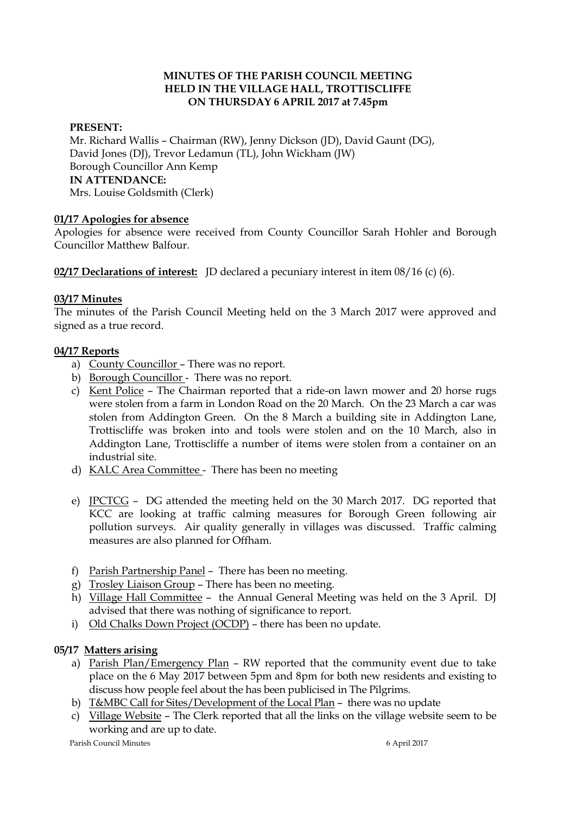#### **MINUTES OF THE PARISH COUNCIL MEETING HELD IN THE VILLAGE HALL, TROTTISCLIFFE ON THURSDAY 6 APRIL 2017 at 7.45pm**

#### **PRESENT:**

Mr. Richard Wallis – Chairman (RW), Jenny Dickson (JD), David Gaunt (DG), David Jones (DJ), Trevor Ledamun (TL), John Wickham (JW) Borough Councillor Ann Kemp **IN ATTENDANCE:**  Mrs. Louise Goldsmith (Clerk)

#### **01/17 Apologies for absence**

Apologies for absence were received from County Councillor Sarah Hohler and Borough Councillor Matthew Balfour.

**02/17 Declarations of interest:** JD declared a pecuniary interest in item 08/16 (c) (6).

### **03/17 Minutes**

The minutes of the Parish Council Meeting held on the 3 March 2017 were approved and signed as a true record.

### **04/17 Reports**

- a) County Councillor There was no report.
- b) Borough Councillor There was no report.
- c) Kent Police The Chairman reported that a ride-on lawn mower and 20 horse rugs were stolen from a farm in London Road on the 20 March. On the 23 March a car was stolen from Addington Green. On the 8 March a building site in Addington Lane, Trottiscliffe was broken into and tools were stolen and on the 10 March, also in Addington Lane, Trottiscliffe a number of items were stolen from a container on an industrial site.
- d) KALC Area Committee There has been no meeting
- e) JPCTCG DG attended the meeting held on the 30 March 2017. DG reported that KCC are looking at traffic calming measures for Borough Green following air pollution surveys. Air quality generally in villages was discussed. Traffic calming measures are also planned for Offham.
- f) Parish Partnership Panel There has been no meeting.
- g) Trosley Liaison Group There has been no meeting.
- h) Village Hall Committee the Annual General Meeting was held on the 3 April. DJ advised that there was nothing of significance to report.
- i) Old Chalks Down Project (OCDP) there has been no update.

# **05/17 Matters arising**

- a) Parish Plan/Emergency Plan RW reported that the community event due to take place on the 6 May 2017 between 5pm and 8pm for both new residents and existing to discuss how people feel about the has been publicised in The Pilgrims.
- b) T&MBC Call for Sites/Development of the Local Plan there was no update
- c) Village Website The Clerk reported that all the links on the village website seem to be working and are up to date.

Parish Council Minutes 6 April 2017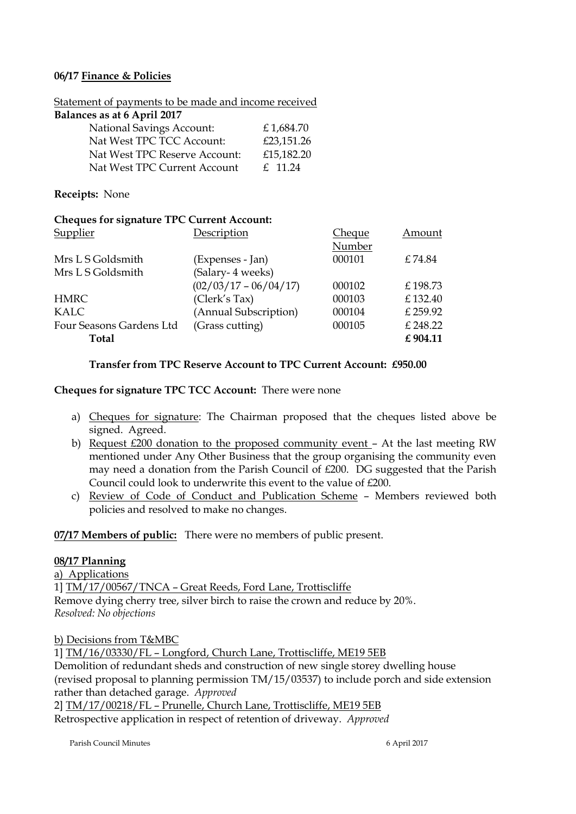#### **06/17 Finance & Policies**

Statement of payments to be made and income received

| Balances as at 6 April 2017      |            |
|----------------------------------|------------|
| <b>National Savings Account:</b> | £1,684.70  |
| Nat West TPC TCC Account:        | £23,151.26 |
| Nat West TPC Reserve Account:    | £15,182.20 |
| Nat West TPC Current Account     | f. 11.24   |

### **Receipts:** None

| Description             | Cheque<br>Number                                  | Amount  |
|-------------------------|---------------------------------------------------|---------|
| (Expenses - Jan)        | 000101                                            | £74.84  |
| (Salary-4 weeks)        |                                                   |         |
| $(02/03/17 - 06/04/17)$ | 000102                                            | £198.73 |
| (Clerk's Tax)           | 000103                                            | £132.40 |
| (Annual Subscription)   | 000104                                            | £259.92 |
| (Grass cutting)         | 000105                                            | £248.22 |
|                         |                                                   | £904.11 |
|                         | <b>Cheques for signature TPC Current Account:</b> |         |

### **Transfer from TPC Reserve Account to TPC Current Account: £950.00**

**Cheques for signature TPC TCC Account:** There were none

- a) Cheques for signature: The Chairman proposed that the cheques listed above be signed. Agreed.
- b) Request £200 donation to the proposed community event At the last meeting RW mentioned under Any Other Business that the group organising the community even may need a donation from the Parish Council of £200. DG suggested that the Parish Council could look to underwrite this event to the value of £200.
- c) Review of Code of Conduct and Publication Scheme Members reviewed both policies and resolved to make no changes.

**07/17 Members of public:** There were no members of public present.

# **08/17 Planning**

a) Applications

1] TM/17/00567/TNCA – Great Reeds, Ford Lane, Trottiscliffe Remove dying cherry tree, silver birch to raise the crown and reduce by 20%. *Resolved: No objections*

b) Decisions from T&MBC

1] TM/16/03330/FL – Longford, Church Lane, Trottiscliffe, ME19 5EB Demolition of redundant sheds and construction of new single storey dwelling house (revised proposal to planning permission TM/15/03537) to include porch and side extension rather than detached garage. *Approved*

2] TM/17/00218/FL – Prunelle, Church Lane, Trottiscliffe, ME19 5EB Retrospective application in respect of retention of driveway. *Approved*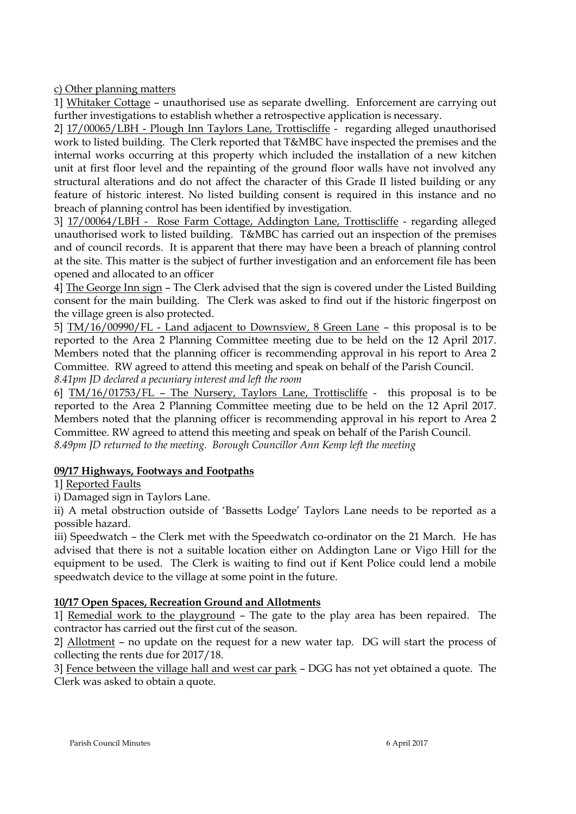c) Other planning matters

1] Whitaker Cottage – unauthorised use as separate dwelling. Enforcement are carrying out further investigations to establish whether a retrospective application is necessary.

2] 17/00065/LBH - Plough Inn Taylors Lane, Trottiscliffe - regarding alleged unauthorised work to listed building. The Clerk reported that T&MBC have inspected the premises and the internal works occurring at this property which included the installation of a new kitchen unit at first floor level and the repainting of the ground floor walls have not involved any structural alterations and do not affect the character of this Grade II listed building or any feature of historic interest. No listed building consent is required in this instance and no breach of planning control has been identified by investigation.

3] 17/00064/LBH - Rose Farm Cottage, Addington Lane, Trottiscliffe - regarding alleged unauthorised work to listed building. T&MBC has carried out an inspection of the premises and of council records. It is apparent that there may have been a breach of planning control at the site. This matter is the subject of further investigation and an enforcement file has been opened and allocated to an officer

4] The George Inn sign – The Clerk advised that the sign is covered under the Listed Building consent for the main building. The Clerk was asked to find out if the historic fingerpost on the village green is also protected.

5] TM/16/00990/FL - Land adjacent to Downsview, 8 Green Lane – this proposal is to be reported to the Area 2 Planning Committee meeting due to be held on the 12 April 2017. Members noted that the planning officer is recommending approval in his report to Area 2 Committee. RW agreed to attend this meeting and speak on behalf of the Parish Council. *8.41pm JD declared a pecuniary interest and left the room*

6] TM/16/01753/FL – The Nursery, Taylors Lane, Trottiscliffe - this proposal is to be reported to the Area 2 Planning Committee meeting due to be held on the 12 April 2017. Members noted that the planning officer is recommending approval in his report to Area 2

Committee. RW agreed to attend this meeting and speak on behalf of the Parish Council.

*8.49pm JD returned to the meeting. Borough Councillor Ann Kemp left the meeting*

# **09/17 Highways, Footways and Footpaths**

1] Reported Faults

i) Damaged sign in Taylors Lane.

ii) A metal obstruction outside of 'Bassetts Lodge' Taylors Lane needs to be reported as a possible hazard.

iii) Speedwatch – the Clerk met with the Speedwatch co-ordinator on the 21 March. He has advised that there is not a suitable location either on Addington Lane or Vigo Hill for the equipment to be used. The Clerk is waiting to find out if Kent Police could lend a mobile speedwatch device to the village at some point in the future.

# **10/17 Open Spaces, Recreation Ground and Allotments**

1] Remedial work to the playground – The gate to the play area has been repaired. The contractor has carried out the first cut of the season.

2] Allotment – no update on the request for a new water tap. DG will start the process of collecting the rents due for 2017/18.

3] Fence between the village hall and west car park - DGG has not yet obtained a quote. The Clerk was asked to obtain a quote.